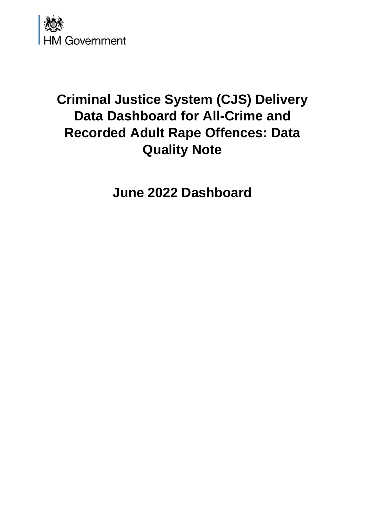

# **Criminal Justice System (CJS) Delivery Data Dashboard for All-Crime and Recorded Adult Rape Offences: Data Quality Note**

**June 2022 Dashboard**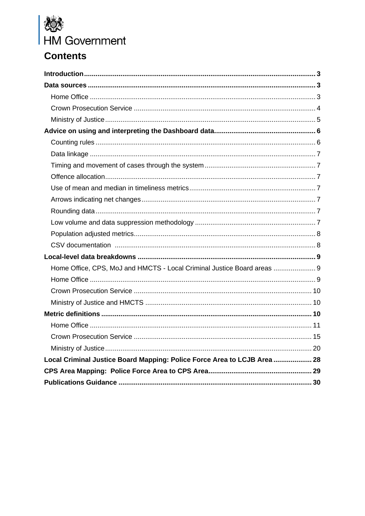

## **Contents**

| Home Office, CPS, MoJ and HMCTS - Local Criminal Justice Board areas  9  |  |
|--------------------------------------------------------------------------|--|
|                                                                          |  |
|                                                                          |  |
|                                                                          |  |
|                                                                          |  |
|                                                                          |  |
|                                                                          |  |
|                                                                          |  |
| Local Criminal Justice Board Mapping: Police Force Area to LCJB Area  28 |  |
|                                                                          |  |
|                                                                          |  |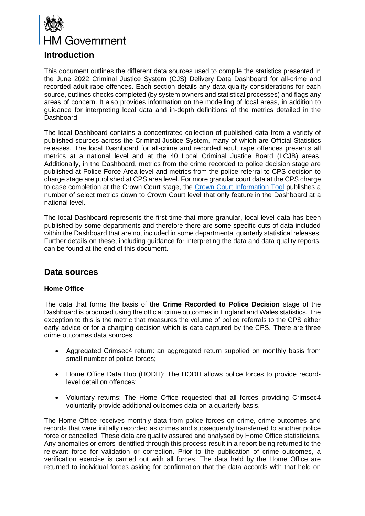

## <span id="page-2-0"></span>**Introduction**

This document outlines the different data sources used to compile the statistics presented in the June 2022 Criminal Justice System (CJS) Delivery Data Dashboard for all-crime and recorded adult rape offences. Each section details any data quality considerations for each source, outlines checks completed (by system owners and statistical processes) and flags any areas of concern. It also provides information on the modelling of local areas, in addition to guidance for interpreting local data and in-depth definitions of the metrics detailed in the Dashboard.

The local Dashboard contains a concentrated collection of published data from a variety of published sources across the Criminal Justice System, many of which are Official Statistics releases. The local Dashboard for all-crime and recorded adult rape offences presents all metrics at a national level and at the 40 Local Criminal Justice Board (LCJB) areas. Additionally, in the Dashboard, metrics from the crime recorded to police decision stage are published at Police Force Area level and metrics from the police referral to CPS decision to charge stage are published at CPS area level. For more granular court data at the CPS charge to case completion at the Crown Court stage, the [Crown Court Information Tool](https://www.judiciary.uk/crown-court-information/) publishes a number of select metrics down to Crown Court level that only feature in the Dashboard at a national level.

The local Dashboard represents the first time that more granular, local-level data has been published by some departments and therefore there are some specific cuts of data included within the Dashboard that are not included in some departmental quarterly statistical releases. Further details on these, including guidance for interpreting the data and data quality reports, can be found at the end of this document.

### <span id="page-2-1"></span>**Data sources**

#### <span id="page-2-2"></span>**Home Office**

The data that forms the basis of the **Crime Recorded to Police Decision** stage of the Dashboard is produced using the official crime outcomes in England and Wales statistics. The exception to this is the metric that measures the volume of police referrals to the CPS either early advice or for a charging decision which is data captured by the CPS. There are three crime outcomes data sources:

- Aggregated Crimsec4 return: an aggregated return supplied on monthly basis from small number of police forces;
- Home Office Data Hub (HODH): The HODH allows police forces to provide recordlevel detail on offences;
- Voluntary returns: The Home Office requested that all forces providing Crimsec4 voluntarily provide additional outcomes data on a quarterly basis.

The Home Office receives monthly data from police forces on crime, crime outcomes and records that were initially recorded as crimes and subsequently transferred to another police force or cancelled. These data are quality assured and analysed by Home Office statisticians. Any anomalies or errors identified through this process result in a report being returned to the relevant force for validation or correction. Prior to the publication of crime outcomes, a verification exercise is carried out with all forces. The data held by the Home Office are returned to individual forces asking for confirmation that the data accords with that held on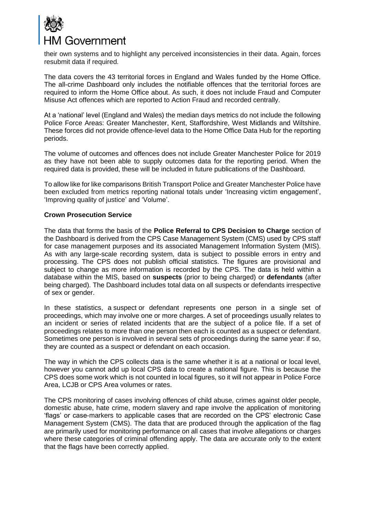

their own systems and to highlight any perceived inconsistencies in their data. Again, forces resubmit data if required.

The data covers the 43 territorial forces in England and Wales funded by the Home Office. The all-crime Dashboard only includes the notifiable offences that the territorial forces are required to inform the Home Office about. As such, it does not include Fraud and Computer Misuse Act offences which are reported to Action Fraud and recorded centrally.

At a 'national' level (England and Wales) the median days metrics do not include the following Police Force Areas: Greater Manchester, Kent, Staffordshire, West Midlands and Wiltshire. These forces did not provide offence-level data to the Home Office Data Hub for the reporting periods.

The volume of outcomes and offences does not include Greater Manchester Police for 2019 as they have not been able to supply outcomes data for the reporting period. When the required data is provided, these will be included in future publications of the Dashboard.

To allow like for like comparisons British Transport Police and Greater Manchester Police have been excluded from metrics reporting national totals under 'Increasing victim engagement', 'Improving quality of justice' and 'Volume'.

#### <span id="page-3-0"></span>**Crown Prosecution Service**

The data that forms the basis of the **Police Referral to CPS Decision to Charge** section of the Dashboard is derived from the CPS Case Management System (CMS) used by CPS staff for case management purposes and its associated Management Information System (MIS). As with any large-scale recording system, data is subject to possible errors in entry and processing. The CPS does not publish official statistics. The figures are provisional and subject to change as more information is recorded by the CPS. The data is held within a database within the MIS, based on **suspects** (prior to being charged) or **defendants** (after being charged). The Dashboard includes total data on all suspects or defendants irrespective of sex or gender.

In these statistics, a suspect or defendant represents one person in a single set of proceedings, which may involve one or more charges. A set of proceedings usually relates to an incident or series of related incidents that are the subject of a police file. If a set of proceedings relates to more than one person then each is counted as a suspect or defendant. Sometimes one person is involved in several sets of proceedings during the same year: if so, they are counted as a suspect or defendant on each occasion.

The way in which the CPS collects data is the same whether it is at a national or local level, however you cannot add up local CPS data to create a national figure. This is because the CPS does some work which is not counted in local figures, so it will not appear in Police Force Area, LCJB or CPS Area volumes or rates.

The CPS monitoring of cases involving offences of child abuse, crimes against older people, domestic abuse, hate crime, modern slavery and rape involve the application of monitoring 'flags' or case-markers to applicable cases that are recorded on the CPS' electronic Case Management System (CMS). The data that are produced through the application of the flag are primarily used for monitoring performance on all cases that involve allegations or charges where these categories of criminal offending apply. The data are accurate only to the extent that the flags have been correctly applied.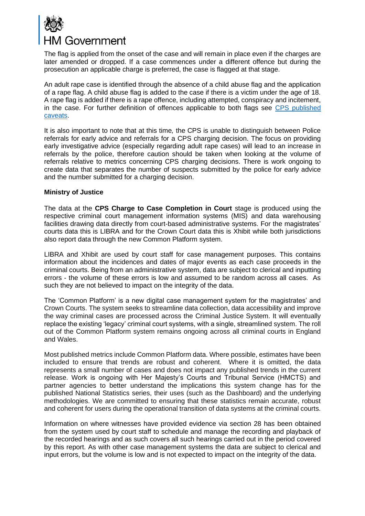

The flag is applied from the onset of the case and will remain in place even if the charges are later amended or dropped. If a case commences under a different offence but during the prosecution an applicable charge is preferred, the case is flagged at that stage.

An adult rape case is identified through the absence of a child abuse flag and the application of a rape flag. A child abuse flag is added to the case if there is a victim under the age of 18. A rape flag is added if there is a rape offence, including attempted, conspiracy and incitement, in the case. For further definition of offences applicable to both flags see [CPS published](https://www.cps.gov.uk/publication/cps-data-summary-quarter-2-2021-2022)  [caveats.](https://www.cps.gov.uk/publication/cps-data-summary-quarter-2-2021-2022)

It is also important to note that at this time*,* the CPS is unable to distinguish between Police referrals for early advice and referrals for a CPS charging decision. The focus on providing early investigative advice (especially regarding adult rape cases) will lead to an increase in referrals by the police, therefore caution should be taken when looking at the volume of referrals relative to metrics concerning CPS charging decisions. There is work ongoing to create data that separates the number of suspects submitted by the police for early advice and the number submitted for a charging decision.

#### <span id="page-4-0"></span>**Ministry of Justice**

The data at the **CPS Charge to Case Completion in Court** stage is produced using the respective criminal court management information systems (MIS) and data warehousing facilities drawing data directly from court-based administrative systems. For the magistrates' courts data this is LIBRA and for the Crown Court data this is Xhibit while both jurisdictions also report data through the new Common Platform system.

LIBRA and Xhibit are used by court staff for case management purposes. This contains information about the incidences and dates of major events as each case proceeds in the criminal courts. Being from an administrative system, data are subject to clerical and inputting errors - the volume of these errors is low and assumed to be random across all cases. As such they are not believed to impact on the integrity of the data.

The 'Common Platform' is a new digital case management system for the magistrates' and Crown Courts. The system seeks to streamline data collection, data accessibility and improve the way criminal cases are processed across the Criminal Justice System. It will eventually replace the existing 'legacy' criminal court systems, with a single, streamlined system. The roll out of the Common Platform system remains ongoing across all criminal courts in England and Wales.

Most published metrics include Common Platform data. Where possible, estimates have been included to ensure that trends are robust and coherent. Where it is omitted, the data represents a small number of cases and does not impact any published trends in the current release. Work is ongoing with Her Majesty's Courts and Tribunal Service (HMCTS) and partner agencies to better understand the implications this system change has for the published National Statistics series, their uses (such as the Dashboard) and the underlying methodologies. We are committed to ensuring that these statistics remain accurate, robust and coherent for users during the operational transition of data systems at the criminal courts.

Information on where witnesses have provided evidence via section 28 has been obtained from the system used by court staff to schedule and manage the recording and playback of the recorded hearings and as such covers all such hearings carried out in the period covered by this report. As with other case management systems the data are subject to clerical and input errors, but the volume is low and is not expected to impact on the integrity of the data.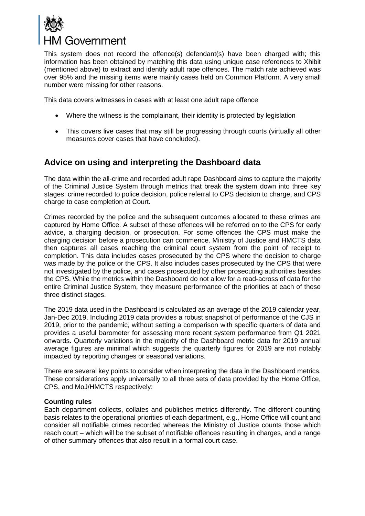

This system does not record the offence(s) defendant(s) have been charged with; this information has been obtained by matching this data using unique case references to Xhibit (mentioned above) to extract and identify adult rape offences. The match rate achieved was over 95% and the missing items were mainly cases held on Common Platform. A very small number were missing for other reasons.

This data covers witnesses in cases with at least one adult rape offence

- Where the witness is the complainant, their identity is protected by legislation
- This covers live cases that may still be progressing through courts (virtually all other measures cover cases that have concluded).

## <span id="page-5-0"></span>**Advice on using and interpreting the Dashboard data**

The data within the all-crime and recorded adult rape Dashboard aims to capture the majority of the Criminal Justice System through metrics that break the system down into three key stages: crime recorded to police decision, police referral to CPS decision to charge, and CPS charge to case completion at Court.

Crimes recorded by the police and the subsequent outcomes allocated to these crimes are captured by Home Office. A subset of these offences will be referred on to the CPS for early advice, a charging decision, or prosecution. For some offences the CPS must make the charging decision before a prosecution can commence. Ministry of Justice and HMCTS data then captures all cases reaching the criminal court system from the point of receipt to completion. This data includes cases prosecuted by the CPS where the decision to charge was made by the police or the CPS. It also includes cases prosecuted by the CPS that were not investigated by the police, and cases prosecuted by other prosecuting authorities besides the CPS. While the metrics within the Dashboard do not allow for a read-across of data for the entire Criminal Justice System, they measure performance of the priorities at each of these three distinct stages.

The 2019 data used in the Dashboard is calculated as an average of the 2019 calendar year, Jan-Dec 2019. Including 2019 data provides a robust snapshot of performance of the CJS in 2019, prior to the pandemic, without setting a comparison with specific quarters of data and provides a useful barometer for assessing more recent system performance from Q1 2021 onwards. Quarterly variations in the majority of the Dashboard metric data for 2019 annual average figures are minimal which suggests the quarterly figures for 2019 are not notably impacted by reporting changes or seasonal variations.

There are several key points to consider when interpreting the data in the Dashboard metrics. These considerations apply universally to all three sets of data provided by the Home Office, CPS, and MoJ/HMCTS respectively:

#### <span id="page-5-1"></span>**Counting rules**

Each department collects, collates and publishes metrics differently. The different counting basis relates to the operational priorities of each department, e.g., Home Office will count and consider all notifiable crimes recorded whereas the Ministry of Justice counts those which reach court – which will be the subset of notifiable offences resulting in charges, and a range of other summary offences that also result in a formal court case.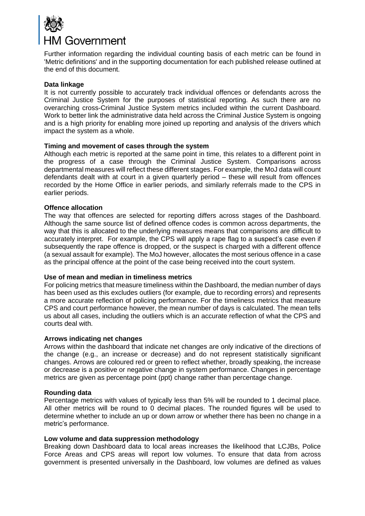

Further information regarding the individual counting basis of each metric can be found in 'Metric definitions' and in the supporting documentation for each published release outlined at the end of this document.

#### <span id="page-6-0"></span>**Data linkage**

It is not currently possible to accurately track individual offences or defendants across the Criminal Justice System for the purposes of statistical reporting. As such there are no overarching cross-Criminal Justice System metrics included within the current Dashboard. Work to better link the administrative data held across the Criminal Justice System is ongoing and is a high priority for enabling more joined up reporting and analysis of the drivers which impact the system as a whole.

#### <span id="page-6-1"></span>**Timing and movement of cases through the system**

Although each metric is reported at the same point in time, this relates to a different point in the progress of a case through the Criminal Justice System. Comparisons across departmental measures will reflect these different stages. For example, the MoJ data will count defendants dealt with at court in a given quarterly period – these will result from offences recorded by the Home Office in earlier periods, and similarly referrals made to the CPS in earlier periods.

#### <span id="page-6-2"></span>**Offence allocation**

The way that offences are selected for reporting differs across stages of the Dashboard. Although the same source list of defined offence codes is common across departments, the way that this is allocated to the underlying measures means that comparisons are difficult to accurately interpret. For example, the CPS will apply a rape flag to a suspect's case even if subsequently the rape offence is dropped, or the suspect is charged with a different offence (a sexual assault for example). The MoJ however, allocates the most serious offence in a case as the principal offence at the point of the case being received into the court system.

#### <span id="page-6-3"></span>**Use of mean and median in timeliness metrics**

For policing metrics that measure timeliness within the Dashboard, the median number of days has been used as this excludes outliers (for example, due to recording errors) and represents a more accurate reflection of policing performance. For the timeliness metrics that measure CPS and court performance however, the mean number of days is calculated. The mean tells us about all cases, including the outliers which is an accurate reflection of what the CPS and courts deal with.

#### <span id="page-6-4"></span>**Arrows indicating net changes**

Arrows within the dashboard that indicate net changes are only indicative of the directions of the change (e.g., an increase or decrease) and do not represent statistically significant changes. Arrows are coloured red or green to reflect whether, broadly speaking, the increase or decrease is a positive or negative change in system performance. Changes in percentage metrics are given as percentage point (ppt) change rather than percentage change.

#### <span id="page-6-5"></span>**Rounding data**

Percentage metrics with values of typically less than 5% will be rounded to 1 decimal place. All other metrics will be round to 0 decimal places. The rounded figures will be used to determine whether to include an up or down arrow or whether there has been no change in a metric's performance.

#### <span id="page-6-6"></span>**Low volume and data suppression methodology**

Breaking down Dashboard data to local areas increases the likelihood that LCJBs, Police Force Areas and CPS areas will report low volumes. To ensure that data from across government is presented universally in the Dashboard, low volumes are defined as values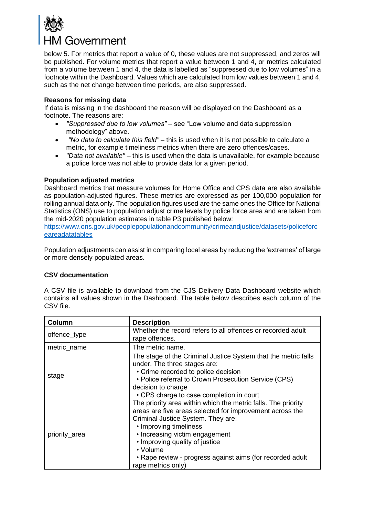

below 5. For metrics that report a value of 0, these values are not suppressed, and zeros will be published. For volume metrics that report a value between 1 and 4, or metrics calculated from a volume between 1 and 4, the data is labelled as "suppressed due to low volumes" in a footnote within the Dashboard. Values which are calculated from low values between 1 and 4, such as the net change between time periods, are also suppressed.

#### **Reasons for missing data**

If data is missing in the dashboard the reason will be displayed on the Dashboard as a footnote. The reasons are:

- *"Suppressed due to low volumes"*  see "Low volume and data suppression methodology" above.
- *"No data to calculate this field"* this is used when it is not possible to calculate a metric, for example timeliness metrics when there are zero offences/cases.
- *"Data not available" –* this is used when the data is unavailable, for example because a police force was not able to provide data for a given period.

#### <span id="page-7-0"></span>**Population adjusted metrics**

Dashboard metrics that measure volumes for Home Office and CPS data are also available as population-adjusted figures. These metrics are expressed as per 100,000 population for rolling annual data only. The population figures used are the same ones the Office for National Statistics (ONS) use to population adjust crime levels by police force area and are taken from the mid-2020 population estimates in table P3 published below:

[https://www.ons.gov.uk/peoplepopulationandcommunity/crimeandjustice/datasets/policeforc](https://www.ons.gov.uk/peoplepopulationandcommunity/crimeandjustice/datasets/policeforceareadatatables) [eareadatatables](https://www.ons.gov.uk/peoplepopulationandcommunity/crimeandjustice/datasets/policeforceareadatatables) 

Population adjustments can assist in comparing local areas by reducing the 'extremes' of large or more densely populated areas.

#### <span id="page-7-1"></span>**CSV documentation**

A CSV file is available to download from the CJS Delivery Data Dashboard website which contains all values shown in the Dashboard. The table below describes each column of the CSV file.

| Column        | <b>Description</b>                                                                                                                                                                                                                                                                                                                                           |  |  |  |
|---------------|--------------------------------------------------------------------------------------------------------------------------------------------------------------------------------------------------------------------------------------------------------------------------------------------------------------------------------------------------------------|--|--|--|
| offence_type  | Whether the record refers to all offences or recorded adult<br>rape offences.                                                                                                                                                                                                                                                                                |  |  |  |
| metric_name   | The metric name.                                                                                                                                                                                                                                                                                                                                             |  |  |  |
| stage         | The stage of the Criminal Justice System that the metric falls<br>under. The three stages are:<br>• Crime recorded to police decision<br>• Police referral to Crown Prosecution Service (CPS)<br>decision to charge<br>• CPS charge to case completion in court                                                                                              |  |  |  |
| priority_area | The priority area within which the metric falls. The priority<br>areas are five areas selected for improvement across the<br>Criminal Justice System. They are:<br>• Improving timeliness<br>• Increasing victim engagement<br>• Improving quality of justice<br>• Volume<br>• Rape review - progress against aims (for recorded adult<br>rape metrics only) |  |  |  |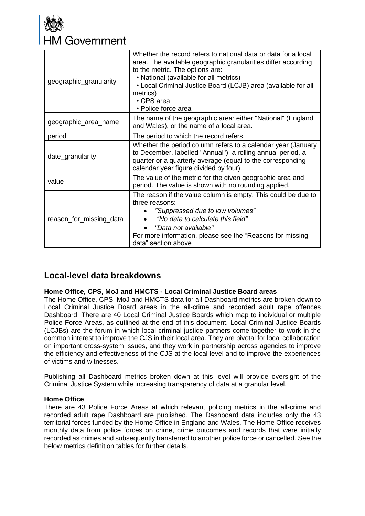

| geographic_granularity  | Whether the record refers to national data or data for a local<br>area. The available geographic granularities differ according<br>to the metric. The options are:<br>• National (available for all metrics)<br>• Local Criminal Justice Board (LCJB) area (available for all<br>metrics)<br>$\cdot$ CPS area<br>• Police force area |  |  |
|-------------------------|--------------------------------------------------------------------------------------------------------------------------------------------------------------------------------------------------------------------------------------------------------------------------------------------------------------------------------------|--|--|
| geographic_area_name    | The name of the geographic area: either "National" (England<br>and Wales), or the name of a local area.                                                                                                                                                                                                                              |  |  |
| period                  | The period to which the record refers.                                                                                                                                                                                                                                                                                               |  |  |
| date_granularity        | Whether the period column refers to a calendar year (January<br>to December, labelled "Annual"), a rolling annual period, a<br>quarter or a quarterly average (equal to the corresponding<br>calendar year figure divided by four).                                                                                                  |  |  |
| value                   | The value of the metric for the given geographic area and<br>period. The value is shown with no rounding applied.                                                                                                                                                                                                                    |  |  |
| reason_for_missing_data | The reason if the value column is empty. This could be due to<br>three reasons:<br>"Suppressed due to low volumes"<br>"No data to calculate this field"<br>"Data not available"<br>For more information, please see the "Reasons for missing<br>data" section above.                                                                 |  |  |

## <span id="page-8-0"></span>**Local-level data breakdowns**

#### <span id="page-8-1"></span>**Home Office, CPS, MoJ and HMCTS - Local Criminal Justice Board areas**

The Home Office, CPS, MoJ and HMCTS data for all Dashboard metrics are broken down to Local Criminal Justice Board areas in the all-crime and recorded adult rape offences Dashboard. There are 40 Local Criminal Justice Boards which map to individual or multiple Police Force Areas, as outlined at the end of this document. Local Criminal Justice Boards (LCJBs) are the forum in which local criminal justice partners come together to work in the common interest to improve the CJS in their local area. They are pivotal for local collaboration on important cross-system issues, and they work in partnership across agencies to improve the efficiency and effectiveness of the CJS at the local level and to improve the experiences of victims and witnesses.

Publishing all Dashboard metrics broken down at this level will provide oversight of the Criminal Justice System while increasing transparency of data at a granular level.

#### <span id="page-8-2"></span>**Home Office**

There are 43 Police Force Areas at which relevant policing metrics in the all-crime and recorded adult rape Dashboard are published. The Dashboard data includes only the 43 territorial forces funded by the Home Office in England and Wales. The Home Office receives monthly data from police forces on crime, crime outcomes and records that were initially recorded as crimes and subsequently transferred to another police force or cancelled. See the below metrics definition tables for further details.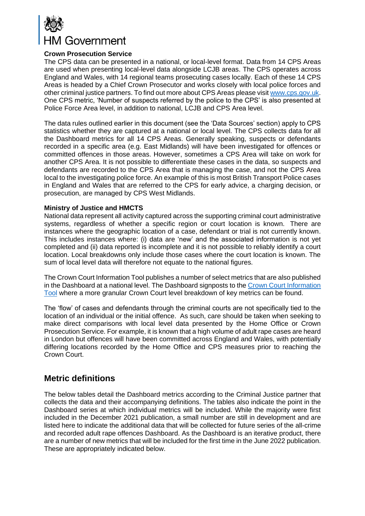

#### <span id="page-9-0"></span>**Crown Prosecution Service**

The CPS data can be presented in a national, or local-level format. Data from 14 CPS Areas are used when presenting local-level data alongside LCJB areas. The CPS operates across England and Wales, with 14 regional teams prosecuting cases locally. Each of these 14 CPS Areas is headed by a Chief Crown Prosecutor and works closely with local police forces and other criminal justice partners. To find out more about CPS Areas please visit [www.cps.gov.uk.](http://www.cps.gov.uk/) One CPS metric, 'Number of suspects referred by the police to the CPS' is also presented at Police Force Area level, in addition to national, LCJB and CPS Area level.

The data rules outlined earlier in this document (see the 'Data Sources' section) apply to CPS statistics whether they are captured at a national or local level. The CPS collects data for all the Dashboard metrics for all 14 CPS Areas. Generally speaking, suspects or defendants recorded in a specific area (e.g. East Midlands) will have been investigated for offences or committed offences in those areas. However, sometimes a CPS Area will take on work for another CPS Area. It is not possible to differentiate these cases in the data, so suspects and defendants are recorded to the CPS Area that is managing the case, and not the CPS Area local to the investigating police force. An example of this is most British Transport Police cases in England and Wales that are referred to the CPS for early advice, a charging decision, or prosecution, are managed by CPS West Midlands.

#### <span id="page-9-1"></span>**Ministry of Justice and HMCTS**

National data represent all activity captured across the supporting criminal court administrative systems, regardless of whether a specific region or court location is known. There are instances where the geographic location of a case, defendant or trial is not currently known. This includes instances where: (i) data are 'new' and the associated information is not yet completed and (ii) data reported is incomplete and it is not possible to reliably identify a court location. Local breakdowns only include those cases where the court location is known. The sum of local level data will therefore not equate to the national figures.

The Crown Court Information Tool publishes a number of select metrics that are also published in the Dashboard at a national level. The Dashboard signposts to the [Crown Court Information](https://www.judiciary.uk/crown-court-information/)  [Tool](https://www.judiciary.uk/crown-court-information/) where a more granular Crown Court level breakdown of key metrics can be found.

The 'flow' of cases and defendants through the criminal courts are not specifically tied to the location of an individual or the initial offence. As such, care should be taken when seeking to make direct comparisons with local level data presented by the Home Office or Crown Prosecution Service. For example, it is known that a high volume of adult rape cases are heard in London but offences will have been committed across England and Wales, with potentially differing locations recorded by the Home Office and CPS measures prior to reaching the Crown Court.

## <span id="page-9-2"></span>**Metric definitions**

The below tables detail the Dashboard metrics according to the Criminal Justice partner that collects the data and their accompanying definitions. The tables also indicate the point in the Dashboard series at which individual metrics will be included. While the majority were first included in the December 2021 publication, a small number are still in development and are listed here to indicate the additional data that will be collected for future series of the all-crime and recorded adult rape offences Dashboard. As the Dashboard is an iterative product, there are a number of new metrics that will be included for the first time in the June 2022 publication. These are appropriately indicated below.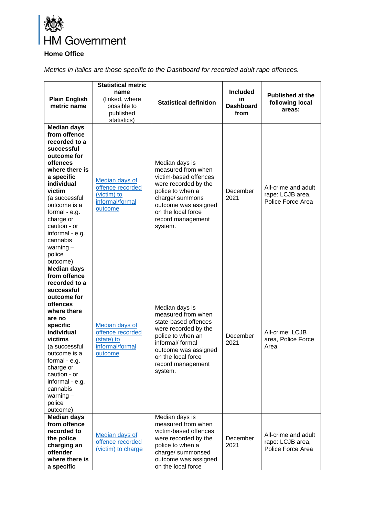

## <span id="page-10-0"></span>**Home Office**

*Metrics in italics are those specific to the Dashboard for recorded adult rape offences.*

| <b>Plain English</b><br>metric name                                                                                                                                                                                                                                                                           | <b>Statistical metric</b><br>name<br>(linked, where<br>possible to<br>published<br>statistics) | <b>Statistical definition</b>                                                                                                                                                                               | <b>Included</b><br>in<br><b>Dashboard</b><br>from | <b>Published at the</b><br>following local<br>areas:         |
|---------------------------------------------------------------------------------------------------------------------------------------------------------------------------------------------------------------------------------------------------------------------------------------------------------------|------------------------------------------------------------------------------------------------|-------------------------------------------------------------------------------------------------------------------------------------------------------------------------------------------------------------|---------------------------------------------------|--------------------------------------------------------------|
| <b>Median days</b><br>from offence<br>recorded to a<br>successful<br>outcome for<br>offences<br>where there is<br>a specific<br>individual<br>victim<br>(a successful<br>outcome is a<br>formal - e.g.<br>charge or<br>caution - or<br>informal - e.g.<br>cannabis<br>warning $-$<br>police<br>outcome)       | <b>Median days of</b><br>offence recorded<br>(victim) to<br>informal/formal<br>outcome         | Median days is<br>measured from when<br>victim-based offences<br>were recorded by the<br>police to when a<br>charge/ summons<br>outcome was assigned<br>on the local force<br>record management<br>system.  | December<br>2021                                  | All-crime and adult<br>rape: LCJB area,<br>Police Force Area |
| <b>Median days</b><br>from offence<br>recorded to a<br>successful<br>outcome for<br>offences<br>where there<br>are no<br>specific<br>individual<br>victims<br>(a successful<br>outcome is a<br>formal - e.g.<br>charge or<br>caution - or<br>informal - e.g.<br>cannabis<br>warning $-$<br>police<br>outcome) | Median days of<br>offence recorded<br>(state) to<br>informal/formal<br>outcome                 | Median days is<br>measured from when<br>state-based offences<br>were recorded by the<br>police to when an<br>informal/ formal<br>outcome was assigned<br>on the local force<br>record management<br>system. | December<br>2021                                  | All-crime: LCJB<br>area, Police Force<br>Area                |
| <b>Median days</b><br>from offence<br>recorded to<br>the police<br>charging an<br>offender<br>where there is<br>a specific                                                                                                                                                                                    | Median days of<br>offence recorded<br>(victim) to charge                                       | Median days is<br>measured from when<br>victim-based offences<br>were recorded by the<br>police to when a<br>charge/ summonsed<br>outcome was assigned<br>on the local force                                | December<br>2021                                  | All-crime and adult<br>rape: LCJB area,<br>Police Force Area |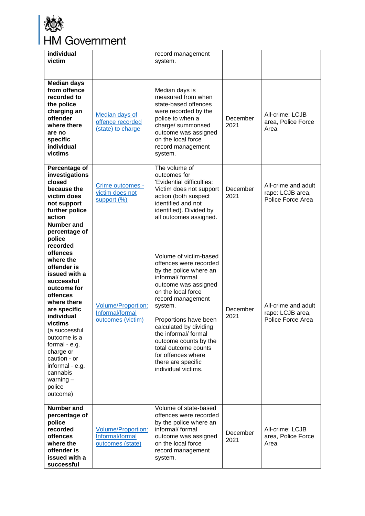

| individual<br>victim                                                                                                                                                                                                                                                                                                                                                  |                                                                  | record management<br>system.                                                                                                                                                                                                                                                                                                                                               |                  |                                                              |
|-----------------------------------------------------------------------------------------------------------------------------------------------------------------------------------------------------------------------------------------------------------------------------------------------------------------------------------------------------------------------|------------------------------------------------------------------|----------------------------------------------------------------------------------------------------------------------------------------------------------------------------------------------------------------------------------------------------------------------------------------------------------------------------------------------------------------------------|------------------|--------------------------------------------------------------|
| <b>Median days</b><br>from offence<br>recorded to<br>the police<br>charging an<br>offender<br>where there<br>are no<br>specific<br>individual<br>victims                                                                                                                                                                                                              | Median days of<br>offence recorded<br>(state) to charge          | Median days is<br>measured from when<br>state-based offences<br>were recorded by the<br>police to when a<br>charge/ summonsed<br>outcome was assigned<br>on the local force<br>record management<br>system.                                                                                                                                                                | December<br>2021 | All-crime: LCJB<br>area, Police Force<br>Area                |
| Percentage of<br>investigations<br>closed<br>because the<br>victim does<br>not support<br>further police<br>action                                                                                                                                                                                                                                                    | Crime outcomes -<br>victim does not<br>support (%)               | The volume of<br>outcomes for<br>'Evidential difficulties:<br>Victim does not support<br>action (both suspect<br>identified and not<br>identified). Divided by<br>all outcomes assigned.                                                                                                                                                                                   | December<br>2021 | All-crime and adult<br>rape: LCJB area,<br>Police Force Area |
| <b>Number and</b><br>percentage of<br>police<br>recorded<br>offences<br>where the<br>offender is<br>issued with a<br>successful<br>outcome for<br>offences<br>where there<br>are specific<br>individual<br>victims<br>(a successful<br>outcome is a<br>formal - e.g.<br>charge or<br>caution - or<br>informal - e.g.<br>cannabis<br>warning $-$<br>police<br>outcome) | Volume/Proportion:<br>Informal/formal<br>outcomes (victim)       | Volume of victim-based<br>offences were recorded<br>by the police where an<br>informal/ formal<br>outcome was assigned<br>on the local force<br>record management<br>system.<br>Proportions have been<br>calculated by dividing<br>the informal/formal<br>outcome counts by the<br>total outcome counts<br>for offences where<br>there are specific<br>individual victims. | December<br>2021 | All-crime and adult<br>rape: LCJB area,<br>Police Force Area |
| <b>Number and</b><br>percentage of<br>police<br>recorded<br>offences<br>where the<br>offender is<br>issued with a<br>successful                                                                                                                                                                                                                                       | <b>Volume/Proportion:</b><br>Informal/formal<br>outcomes (state) | Volume of state-based<br>offences were recorded<br>by the police where an<br>informal/ formal<br>outcome was assigned<br>on the local force<br>record management<br>system.                                                                                                                                                                                                | December<br>2021 | All-crime: LCJB<br>area, Police Force<br>Area                |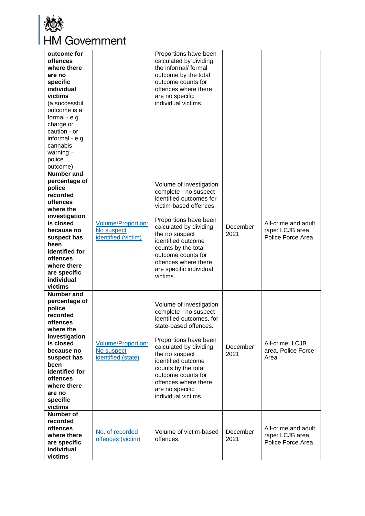

| outcome for<br>offences<br>where there<br>are no<br>specific<br>individual<br>victims<br>(a successful<br>outcome is a<br>formal - e.g.<br>charge or<br>caution - or<br>informal - e.g.<br>cannabis<br>warning $-$<br>police<br>outcome)  |                                                                | Proportions have been<br>calculated by dividing<br>the informal/ formal<br>outcome by the total<br>outcome counts for<br>offences where there<br>are no specific<br>individual victims.                                                                                                                         |                  |                                                              |
|-------------------------------------------------------------------------------------------------------------------------------------------------------------------------------------------------------------------------------------------|----------------------------------------------------------------|-----------------------------------------------------------------------------------------------------------------------------------------------------------------------------------------------------------------------------------------------------------------------------------------------------------------|------------------|--------------------------------------------------------------|
| Number and<br>percentage of<br>police<br>recorded<br>offences<br>where the<br>investigation<br>is closed<br>because no<br>suspect has<br>been<br>identified for<br>offences<br>where there<br>are specific<br>individual<br>victims       | <b>Volume/Proportion:</b><br>No suspect<br>identified (victim) | Volume of investigation<br>complete - no suspect<br>identified outcomes for<br>victim-based offences.<br>Proportions have been<br>calculated by dividing<br>the no suspect<br>identified outcome<br>counts by the total<br>outcome counts for<br>offences where there<br>are specific individual<br>victims.    | December<br>2021 | All-crime and adult<br>rape: LCJB area,<br>Police Force Area |
| <b>Number and</b><br>percentage of<br>police<br>recorded<br>offences<br>where the<br>investigation<br>is closed<br>because no<br>suspect has<br>been<br>identified for<br><b>offences</b><br>where there<br>are no<br>specific<br>victims | <b>Volume/Proportion:</b><br>No suspect<br>identified (state)  | Volume of investigation<br>complete - no suspect<br>identified outcomes, for<br>state-based offences.<br>Proportions have been<br>calculated by dividing<br>the no suspect<br>identified outcome<br>counts by the total<br>outcome counts for<br>offences where there<br>are no specific<br>individual victims. | December<br>2021 | All-crime: LCJB<br>area, Police Force<br>Area                |
| <b>Number of</b><br>recorded<br>offences<br>where there<br>are specific<br>individual<br>victims                                                                                                                                          | No. of recorded<br>offences (victim)                           | Volume of victim-based<br>offences.                                                                                                                                                                                                                                                                             | December<br>2021 | All-crime and adult<br>rape: LCJB area,<br>Police Force Area |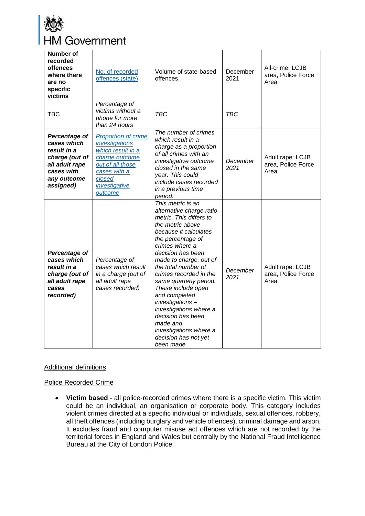

| <b>Number of</b><br>recorded<br>offences<br>where there<br>are no<br>specific<br>victims                                  | No. of recorded<br>offences (state)                                                                                                                           | Volume of state-based<br>offences.                                                                                                                                                                                                                                                                                                                                                                                                                                          | December<br>2021 | All-crime: LCJB<br>area, Police Force<br>Area  |
|---------------------------------------------------------------------------------------------------------------------------|---------------------------------------------------------------------------------------------------------------------------------------------------------------|-----------------------------------------------------------------------------------------------------------------------------------------------------------------------------------------------------------------------------------------------------------------------------------------------------------------------------------------------------------------------------------------------------------------------------------------------------------------------------|------------------|------------------------------------------------|
| <b>TBC</b>                                                                                                                | Percentage of<br>victims without a<br>phone for more<br>than 24 hours                                                                                         | <b>TBC</b>                                                                                                                                                                                                                                                                                                                                                                                                                                                                  | <b>TBC</b>       |                                                |
| Percentage of<br>cases which<br>result in a<br>charge (out of<br>all adult rape<br>cases with<br>any outcome<br>assigned) | <b>Proportion of crime</b><br>investigations<br>which result in a<br>charge outcome<br>out of all those<br>cases with a<br>closed<br>investigative<br>outcome | The number of crimes<br>which result in a<br>charge as a proportion<br>of all crimes with an<br>investigative outcome<br>closed in the same<br>year. This could<br>include cases recorded<br>in a previous time<br>period.                                                                                                                                                                                                                                                  | December<br>2021 | Adult rape: LCJB<br>area, Police Force<br>Area |
| Percentage of<br>cases which<br>result in a<br>charge (out of<br>all adult rape<br>cases<br>recorded)                     | Percentage of<br>cases which result<br>in a charge (out of<br>all adult rape<br>cases recorded)                                                               | This metric is an<br>alternative charge ratio<br>metric. This differs to<br>the metric above<br>because it calculates<br>the percentage of<br>crimes where a<br>decision has been<br>made to charge, out of<br>the total number of<br>crimes recorded in the<br>same quarterly period.<br>These include open<br>and completed<br>investigations-<br>investigations where a<br>decision has been<br>made and<br>investigations where a<br>decision has not yet<br>been made. | December<br>2021 | Adult rape: LCJB<br>area, Police Force<br>Area |

#### Additional definitions

#### Police Recorded Crime

• **Victim based** - all police-recorded crimes where there is a specific victim. This victim could be an individual, an organisation or corporate body. This category includes violent crimes directed at a specific individual or individuals, sexual offences, robbery, all theft offences (including burglary and vehicle offences), criminal damage and arson. It excludes fraud and computer misuse act offences which are not recorded by the territorial forces in England and Wales but centrally by the National Fraud Intelligence Bureau at the City of London Police.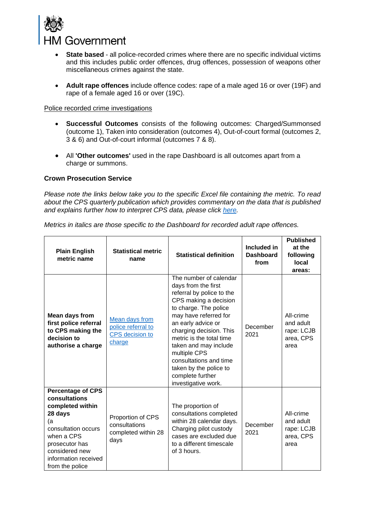

- **State based** all police-recorded crimes where there are no specific individual victims and this includes public order offences, drug offences, possession of weapons other miscellaneous crimes against the state.
- **Adult rape offences** include offence codes: rape of a male aged 16 or over (19F) and rape of a female aged 16 or over (19C).

#### Police recorded crime investigations

- **Successful Outcomes** consists of the following outcomes: Charged/Summonsed (outcome 1), Taken into consideration (outcomes 4), Out-of-court formal (outcomes 2, 3 & 6) and Out-of-court informal (outcomes 7 & 8).
- All **'Other outcomes'** used in the rape Dashboard is all outcomes apart from a charge or summons.

#### <span id="page-14-0"></span>**Crown Prosecution Service**

*Please note the links below take you to the specific Excel file containing the metric. To read about the CPS quarterly publication which provides commentary on the data that is published and explains further how to interpret CPS data, please click [here.](https://www.cps.gov.uk/publication/cps-data-summary-quarter-3-2021-2022)*

*Metrics in italics are those specific to the Dashboard for recorded adult rape offences.* 

| <b>Plain English</b><br>metric name                                                                                                                   | <b>Statistical metric</b><br>name                                        | <b>Statistical definition</b>                                                                                                                                                                                                                                                                                                                                              | Included in<br><b>Dashboard</b><br>from | <b>Published</b><br>at the<br>following<br>local<br>areas: |
|-------------------------------------------------------------------------------------------------------------------------------------------------------|--------------------------------------------------------------------------|----------------------------------------------------------------------------------------------------------------------------------------------------------------------------------------------------------------------------------------------------------------------------------------------------------------------------------------------------------------------------|-----------------------------------------|------------------------------------------------------------|
| <b>Mean days from</b><br>first police referral<br>to CPS making the<br>decision to<br>authorise a charge                                              | Mean days from<br>police referral to<br><b>CPS</b> decision to<br>charge | The number of calendar<br>days from the first<br>referral by police to the<br>CPS making a decision<br>to charge. The police<br>may have referred for<br>an early advice or<br>charging decision. This<br>metric is the total time<br>taken and may include<br>multiple CPS<br>consultations and time<br>taken by the police to<br>complete further<br>investigative work. | December<br>2021                        | All-crime<br>and adult<br>rape: LCJB<br>area, CPS<br>area  |
| <b>Percentage of CPS</b><br>consultations                                                                                                             |                                                                          |                                                                                                                                                                                                                                                                                                                                                                            |                                         |                                                            |
| completed within<br>28 days<br>(a<br>consultation occurs<br>when a CPS<br>prosecutor has<br>considered new<br>information received<br>from the police | Proportion of CPS<br>consultations<br>completed within 28<br>days        | The proportion of<br>consultations completed<br>within 28 calendar days.<br>Charging pilot custody<br>cases are excluded due<br>to a different timescale<br>of 3 hours.                                                                                                                                                                                                    | December<br>2021                        | All-crime<br>and adult<br>rape: LCJB<br>area, CPS<br>area  |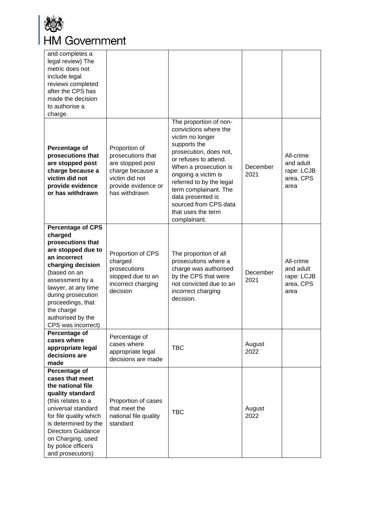

| and completes a<br>legal review) The<br>metric does not<br>include legal<br>reviews completed<br>after the CPS has<br>made the decision<br>to authorise a<br>charge.                                                                                                              |                                                                                                                                      |                                                                                                                                                                                                                                                                                                                                 |                  |                                                           |
|-----------------------------------------------------------------------------------------------------------------------------------------------------------------------------------------------------------------------------------------------------------------------------------|--------------------------------------------------------------------------------------------------------------------------------------|---------------------------------------------------------------------------------------------------------------------------------------------------------------------------------------------------------------------------------------------------------------------------------------------------------------------------------|------------------|-----------------------------------------------------------|
| Percentage of<br>prosecutions that<br>are stopped post<br>charge because a<br>victim did not<br>provide evidence<br>or has withdrawn                                                                                                                                              | Proportion of<br>prosecutions that<br>are stopped post<br>charge because a<br>victim did not<br>provide evidence or<br>has withdrawn | The proportion of non-<br>convictions where the<br>victim no longer<br>supports the<br>prosecution, does not,<br>or refuses to attend.<br>When a prosecution is<br>ongoing a victim is<br>referred to by the legal<br>term complainant. The<br>data presented is<br>sourced from CPS data<br>that uses the term<br>complainant. | December<br>2021 | All-crime<br>and adult<br>rape: LCJB<br>area, CPS<br>area |
| <b>Percentage of CPS</b><br>charged<br>prosecutions that<br>are stopped due to<br>an incorrect<br>charging decision<br>(based on an<br>assessment by a<br>lawyer, at any time<br>during prosecution<br>proceedings, that<br>the charge<br>authorised by the<br>CPS was incorrect) | Proportion of CPS<br>charged<br>prosecutions<br>stopped due to an<br>incorrect charging<br>decision                                  | The proportion of all<br>prosecutions where a<br>charge was authorised<br>by the CPS that were<br>not convicted due to an<br>incorrect charging<br>decision.                                                                                                                                                                    | December<br>2021 | All-crime<br>and adult<br>rape: LCJB<br>area, CPS<br>area |
| Percentage of<br>cases where<br>appropriate legal<br>decisions are<br>made                                                                                                                                                                                                        | Percentage of<br>cases where<br>appropriate legal<br>decisions are made                                                              | <b>TBC</b>                                                                                                                                                                                                                                                                                                                      | August<br>2022   |                                                           |
| Percentage of<br>cases that meet<br>the national file<br>quality standard<br>(this relates to a<br>universal standard<br>for file quality which<br>is determined by the<br>Directors Guidance<br>on Charging, used<br>by police officers<br>and prosecutors)                      | Proportion of cases<br>that meet the<br>national file quality<br>standard                                                            | <b>TBC</b>                                                                                                                                                                                                                                                                                                                      | August<br>2022   |                                                           |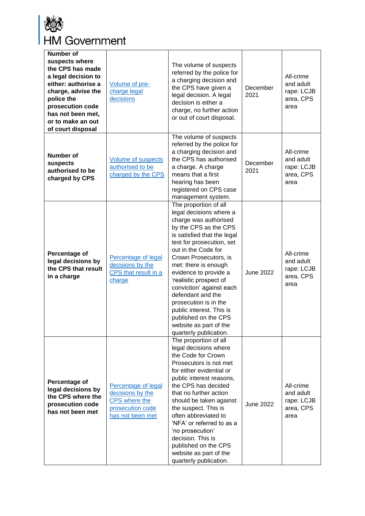

| <b>Number of</b><br>suspects where<br>the CPS has made<br>a legal decision to<br>either: authorise a<br>charge, advise the<br>police the<br>prosecution code<br>has not been met.<br>or to make an out<br>of court disposal | Volume of pre-<br>charge legal<br>decisions                                                      | The volume of suspects<br>referred by the police for<br>a charging decision and<br>the CPS have given a<br>legal decision. A legal<br>decision is either a<br>charge, no further action<br>or out of court disposal.                                                                                                                                                                                                                                                        | December<br>2021 | All-crime<br>and adult<br>rape: LCJB<br>area, CPS<br>area |
|-----------------------------------------------------------------------------------------------------------------------------------------------------------------------------------------------------------------------------|--------------------------------------------------------------------------------------------------|-----------------------------------------------------------------------------------------------------------------------------------------------------------------------------------------------------------------------------------------------------------------------------------------------------------------------------------------------------------------------------------------------------------------------------------------------------------------------------|------------------|-----------------------------------------------------------|
| <b>Number of</b><br>suspects<br>authorised to be<br>charged by CPS                                                                                                                                                          | <b>Volume of suspects</b><br>authorised to be<br>charged by the CPS                              | The volume of suspects<br>referred by the police for<br>a charging decision and<br>the CPS has authorised<br>a charge. A charge<br>means that a first<br>hearing has been<br>registered on CPS case<br>management system.                                                                                                                                                                                                                                                   | December<br>2021 | All-crime<br>and adult<br>rape: LCJB<br>area, CPS<br>area |
| Percentage of<br>legal decisions by<br>the CPS that result<br>in a charge                                                                                                                                                   | Percentage of legal<br>decisions by the<br>CPS that result in a<br>charge                        | The proportion of all<br>legal decisions where a<br>charge was authorised<br>by the CPS as the CPS<br>is satisfied that the legal<br>test for prosecution, set<br>out in the Code for<br>Crown Prosecutors, is<br>met: there is enough<br>evidence to provide a<br>'realistic prospect of<br>conviction' against each<br>defendant and the<br>prosecution is in the<br>public interest. This is<br>published on the CPS<br>website as part of the<br>quarterly publication. | <b>June 2022</b> | All-crime<br>and adult<br>rape: LCJB<br>area, CPS<br>area |
| Percentage of<br>legal decisions by<br>the CPS where the<br>prosecution code<br>has not been met                                                                                                                            | Percentage of legal<br>decisions by the<br>CPS where the<br>prosecution code<br>has not been met | The proportion of all<br>legal decisions where<br>the Code for Crown<br>Prosecutors is not met<br>for either evidential or<br>public interest reasons,<br>the CPS has decided<br>that no further action<br>should be taken against<br>the suspect. This is<br>often abbreviated to<br>'NFA' or referred to as a<br>'no prosecution'<br>decision. This is<br>published on the CPS<br>website as part of the<br>quarterly publication.                                        | <b>June 2022</b> | All-crime<br>and adult<br>rape: LCJB<br>area, CPS<br>area |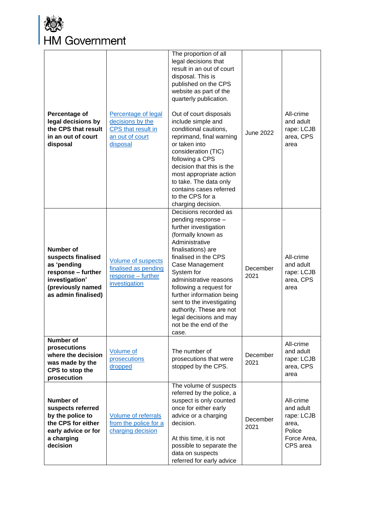

| Percentage of<br>legal decisions by<br>the CPS that result<br>in an out of court<br>disposal                                              | Percentage of legal<br>decisions by the<br><b>CPS</b> that result in<br>an out of court<br>disposal | The proportion of all<br>legal decisions that<br>result in an out of court<br>disposal. This is<br>published on the CPS<br>website as part of the<br>quarterly publication.<br>Out of court disposals<br>include simple and<br>conditional cautions,<br>reprimand, final warning<br>or taken into<br>consideration (TIC)<br>following a CPS<br>decision that this is the<br>most appropriate action<br>to take. The data only<br>contains cases referred<br>to the CPS for a<br>charging decision. | June 2022        | All-crime<br>and adult<br>rape: LCJB<br>area, CPS<br>area                          |
|-------------------------------------------------------------------------------------------------------------------------------------------|-----------------------------------------------------------------------------------------------------|----------------------------------------------------------------------------------------------------------------------------------------------------------------------------------------------------------------------------------------------------------------------------------------------------------------------------------------------------------------------------------------------------------------------------------------------------------------------------------------------------|------------------|------------------------------------------------------------------------------------|
| <b>Number of</b><br>suspects finalised<br>as 'pending<br>response - further<br>investigation'<br>(previously named<br>as admin finalised) | <b>Volume of suspects</b><br>finalised as pending<br>response - further<br>investigation            | Decisions recorded as<br>pending response -<br>further investigation<br>(formally known as<br>Administrative<br>finalisations) are<br>finalised in the CPS<br>Case Management<br>System for<br>administrative reasons<br>following a request for<br>further information being<br>sent to the investigating<br>authority. These are not<br>legal decisions and may<br>not be the end of the<br>case.                                                                                                | December<br>2021 | All-crime<br>and adult<br>rape: LCJB<br>area, CPS<br>area                          |
| <b>Number of</b><br>prosecutions<br>where the decision<br>was made by the<br>CPS to stop the<br>prosecution                               | <b>Volume of</b><br>prosecutions<br>dropped                                                         | The number of<br>prosecutions that were<br>stopped by the CPS.                                                                                                                                                                                                                                                                                                                                                                                                                                     | December<br>2021 | All-crime<br>and adult<br>rape: LCJB<br>area, CPS<br>area                          |
| <b>Number of</b><br>suspects referred<br>by the police to<br>the CPS for either<br>early advice or for<br>a charging<br>decision          | <b>Volume of referrals</b><br>from the police for a<br>charging decision                            | The volume of suspects<br>referred by the police, a<br>suspect is only counted<br>once for either early<br>advice or a charging<br>decision.<br>At this time, it is not<br>possible to separate the<br>data on suspects<br>referred for early advice                                                                                                                                                                                                                                               | December<br>2021 | All-crime<br>and adult<br>rape: LCJB<br>area,<br>Police<br>Force Area,<br>CPS area |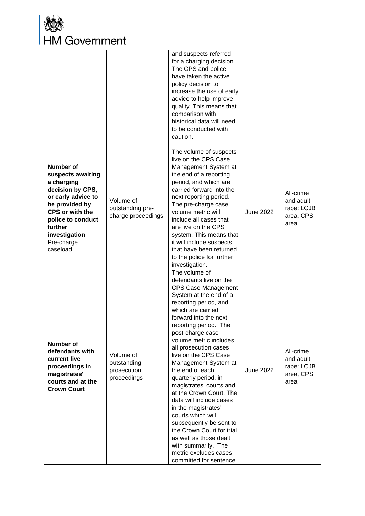

|                                                                                                                                                                                                                      |                                                        | and suspects referred<br>for a charging decision.<br>The CPS and police<br>have taken the active<br>policy decision to<br>increase the use of early<br>advice to help improve<br>quality. This means that<br>comparison with<br>historical data will need<br>to be conducted with<br>caution.                                                                                                                                                                                                                                                                                                                                                              |                  |                                                           |
|----------------------------------------------------------------------------------------------------------------------------------------------------------------------------------------------------------------------|--------------------------------------------------------|------------------------------------------------------------------------------------------------------------------------------------------------------------------------------------------------------------------------------------------------------------------------------------------------------------------------------------------------------------------------------------------------------------------------------------------------------------------------------------------------------------------------------------------------------------------------------------------------------------------------------------------------------------|------------------|-----------------------------------------------------------|
| <b>Number of</b><br>suspects awaiting<br>a charging<br>decision by CPS,<br>or early advice to<br>be provided by<br><b>CPS or with the</b><br>police to conduct<br>further<br>investigation<br>Pre-charge<br>caseload | Volume of<br>outstanding pre-<br>charge proceedings    | The volume of suspects<br>live on the CPS Case<br>Management System at<br>the end of a reporting<br>period, and which are<br>carried forward into the<br>next reporting period.<br>The pre-charge case<br>volume metric will<br>include all cases that<br>are live on the CPS<br>system. This means that<br>it will include suspects<br>that have been returned<br>to the police for further<br>investigation.                                                                                                                                                                                                                                             | <b>June 2022</b> | All-crime<br>and adult<br>rape: LCJB<br>area, CPS<br>area |
| <b>Number of</b><br>defendants with<br>current live<br>proceedings in<br>magistrates'<br>courts and at the<br><b>Crown Court</b>                                                                                     | Volume of<br>outstanding<br>prosecution<br>proceedings | The volume of<br>defendants live on the<br><b>CPS Case Management</b><br>System at the end of a<br>reporting period, and<br>which are carried<br>forward into the next<br>reporting period. The<br>post-charge case<br>volume metric includes<br>all prosecution cases<br>live on the CPS Case<br>Management System at<br>the end of each<br>quarterly period, in<br>magistrates' courts and<br>at the Crown Court. The<br>data will include cases<br>in the magistrates'<br>courts which will<br>subsequently be sent to<br>the Crown Court for trial<br>as well as those dealt<br>with summarily. The<br>metric excludes cases<br>committed for sentence | <b>June 2022</b> | All-crime<br>and adult<br>rape: LCJB<br>area, CPS<br>area |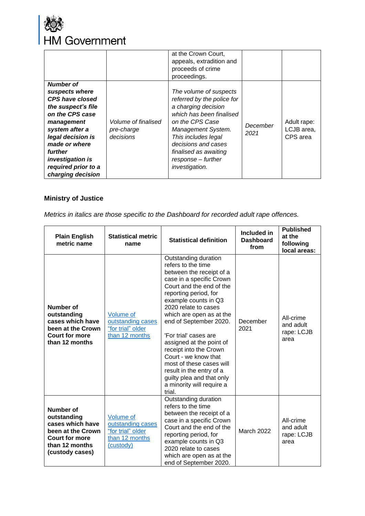

|                                                                                                                                                                                                                                                        |                                                | at the Crown Court,<br>appeals, extradition and<br>proceeds of crime<br>proceedings.                                                                                                                                                                            |                  |                                       |
|--------------------------------------------------------------------------------------------------------------------------------------------------------------------------------------------------------------------------------------------------------|------------------------------------------------|-----------------------------------------------------------------------------------------------------------------------------------------------------------------------------------------------------------------------------------------------------------------|------------------|---------------------------------------|
| <b>Number of</b><br>suspects where<br><b>CPS have closed</b><br>the suspect's file<br>on the CPS case<br>management<br>system after a<br>legal decision is<br>made or where<br>further<br>investigation is<br>required prior to a<br>charging decision | Volume of finalised<br>pre-charge<br>decisions | The volume of suspects<br>referred by the police for<br>a charging decision<br>which has been finalised<br>on the CPS Case<br>Management System.<br>This includes legal<br>decisions and cases<br>finalised as awaiting<br>response - further<br>investigation. | December<br>2021 | Adult rape:<br>LCJB area,<br>CPS area |

### <span id="page-19-0"></span>**Ministry of Justice**

*Metrics in italics are those specific to the Dashboard for recorded adult rape offences.* 

| <b>Plain English</b><br>metric name                                                                                             | <b>Statistical metric</b><br>name                                                  | <b>Statistical definition</b>                                                                                                                                                                                                                                                                                                                                                                                                                                                                    | Included in<br><b>Dashboard</b><br>from | <b>Published</b><br>at the<br>following<br>local areas: |
|---------------------------------------------------------------------------------------------------------------------------------|------------------------------------------------------------------------------------|--------------------------------------------------------------------------------------------------------------------------------------------------------------------------------------------------------------------------------------------------------------------------------------------------------------------------------------------------------------------------------------------------------------------------------------------------------------------------------------------------|-----------------------------------------|---------------------------------------------------------|
| <b>Number of</b><br>outstanding<br>cases which have<br>been at the Crown<br><b>Court for more</b><br>than 12 months             | Volume of<br>outstanding cases<br>"for trial" older<br>than 12 months              | Outstanding duration<br>refers to the time<br>between the receipt of a<br>case in a specific Crown<br>Court and the end of the<br>reporting period, for<br>example counts in Q3<br>2020 relate to cases<br>which are open as at the<br>end of September 2020.<br>'For trial' cases are<br>assigned at the point of<br>receipt into the Crown<br>Court - we know that<br>most of these cases will<br>result in the entry of a<br>guilty plea and that only<br>a minority will require a<br>trial. | December<br>2021                        | All-crime<br>and adult<br>rape: LCJB<br>area            |
| Number of<br>outstanding<br>cases which have<br>been at the Crown<br><b>Court for more</b><br>than 12 months<br>(custody cases) | Volume of<br>outstanding cases<br>"for trial" older<br>than 12 months<br>(custody) | Outstanding duration<br>refers to the time<br>between the receipt of a<br>case in a specific Crown<br>Court and the end of the<br>reporting period, for<br>example counts in Q3<br>2020 relate to cases<br>which are open as at the<br>end of September 2020.                                                                                                                                                                                                                                    | <b>March 2022</b>                       | All-crime<br>and adult<br>rape: LCJB<br>area            |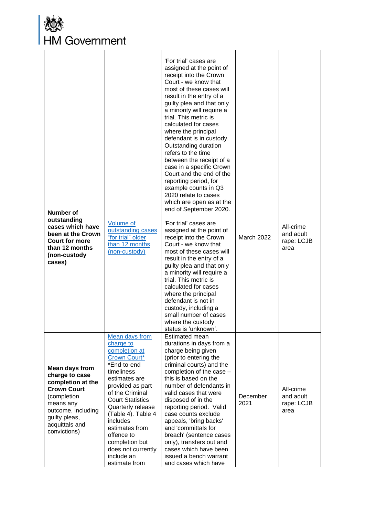

|                                                                                                                                                                                         |                                                                                                                                                                                                                                                                                                                                            | 'For trial' cases are<br>assigned at the point of<br>receipt into the Crown<br>Court - we know that<br>most of these cases will<br>result in the entry of a<br>guilty plea and that only<br>a minority will require a<br>trial. This metric is<br>calculated for cases<br>where the principal<br>defendant is in custody.                                                                                                                                                                                                                                                                                                              |                   |                                              |
|-----------------------------------------------------------------------------------------------------------------------------------------------------------------------------------------|--------------------------------------------------------------------------------------------------------------------------------------------------------------------------------------------------------------------------------------------------------------------------------------------------------------------------------------------|----------------------------------------------------------------------------------------------------------------------------------------------------------------------------------------------------------------------------------------------------------------------------------------------------------------------------------------------------------------------------------------------------------------------------------------------------------------------------------------------------------------------------------------------------------------------------------------------------------------------------------------|-------------------|----------------------------------------------|
| <b>Number of</b><br>outstanding<br>cases which have<br>been at the Crown<br><b>Court for more</b><br>than 12 months<br>(non-custody<br>cases)                                           | <b>Volume</b> of<br>outstanding cases<br>"for trial" older<br>than 12 months<br>(non-custody)                                                                                                                                                                                                                                              | Outstanding duration<br>refers to the time<br>between the receipt of a<br>case in a specific Crown<br>Court and the end of the<br>reporting period, for<br>example counts in Q3<br>2020 relate to cases<br>which are open as at the<br>end of September 2020.<br>'For trial' cases are<br>assigned at the point of<br>receipt into the Crown<br>Court - we know that<br>most of these cases will<br>result in the entry of a<br>guilty plea and that only<br>a minority will require a<br>trial. This metric is<br>calculated for cases<br>where the principal<br>defendant is not in<br>custody, including a<br>small number of cases | <b>March 2022</b> | All-crime<br>and adult<br>rape: LCJB<br>area |
| <b>Mean days from</b><br>charge to case<br>completion at the<br><b>Crown Court</b><br>(completion<br>means any<br>outcome, including<br>guilty pleas,<br>acquittals and<br>convictions) | Mean days from<br>charge to<br>completion at<br>Crown Court*<br>*End-to-end<br>timeliness<br>estimates are<br>provided as part<br>of the Criminal<br><b>Court Statistics</b><br>Quarterly release<br>(Table 4). Table 4<br>includes<br>estimates from<br>offence to<br>completion but<br>does not currently<br>include an<br>estimate from | where the custody<br>status is 'unknown'.<br>Estimated mean<br>durations in days from a<br>charge being given<br>(prior to entering the<br>criminal courts) and the<br>completion of the case -<br>this is based on the<br>number of defendants in<br>valid cases that were<br>disposed of in the<br>reporting period. Valid<br>case counts exclude<br>appeals, 'bring backs'<br>and 'committals for<br>breach' (sentence cases<br>only), transfers out and<br>cases which have been<br>issued a bench warrant<br>and cases which have                                                                                                 | December<br>2021  | All-crime<br>and adult<br>rape: LCJB<br>area |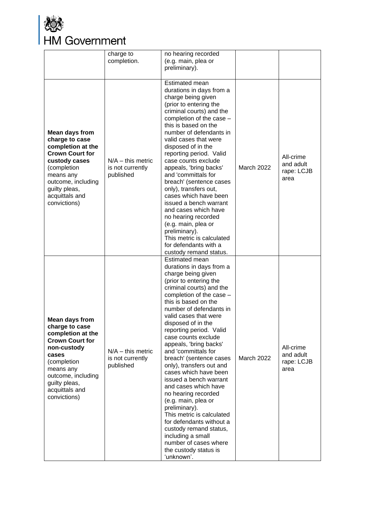

|                                                                                                                                                                                                                     | charge to<br>completion.                             | no hearing recorded<br>(e.g. main, plea or<br>preliminary).                                                                                                                                                                                                                                                                                                                                                                                                                                                                                                                                                                                                                                                                      |                   |                                              |
|---------------------------------------------------------------------------------------------------------------------------------------------------------------------------------------------------------------------|------------------------------------------------------|----------------------------------------------------------------------------------------------------------------------------------------------------------------------------------------------------------------------------------------------------------------------------------------------------------------------------------------------------------------------------------------------------------------------------------------------------------------------------------------------------------------------------------------------------------------------------------------------------------------------------------------------------------------------------------------------------------------------------------|-------------------|----------------------------------------------|
| <b>Mean days from</b><br>charge to case<br>completion at the<br><b>Crown Court for</b><br>custody cases<br>(completion<br>means any<br>outcome, including<br>guilty pleas,<br>acquittals and<br>convictions)        | $N/A -$ this metric<br>is not currently<br>published | Estimated mean<br>durations in days from a<br>charge being given<br>(prior to entering the<br>criminal courts) and the<br>completion of the case -<br>this is based on the<br>number of defendants in<br>valid cases that were<br>disposed of in the<br>reporting period. Valid<br>case counts exclude<br>appeals, 'bring backs'<br>and 'committals for<br>breach' (sentence cases<br>only), transfers out,<br>cases which have been<br>issued a bench warrant<br>and cases which have<br>no hearing recorded<br>(e.g. main, plea or<br>preliminary).<br>This metric is calculated<br>for defendants with a<br>custody remand status.                                                                                            | <b>March 2022</b> | All-crime<br>and adult<br>rape: LCJB<br>area |
| <b>Mean days from</b><br>charge to case<br>completion at the<br><b>Crown Court for</b><br>non-custody<br>cases<br>(completion<br>means any<br>outcome, including<br>guilty pleas,<br>acquittals and<br>convictions) | $N/A -$ this metric<br>is not currently<br>published | Estimated mean<br>durations in days from a<br>charge being given<br>(prior to entering the<br>criminal courts) and the<br>completion of the case -<br>this is based on the<br>number of defendants in<br>valid cases that were<br>disposed of in the<br>reporting period. Valid<br>case counts exclude<br>appeals, 'bring backs'<br>and 'committals for<br>breach' (sentence cases<br>only), transfers out and<br>cases which have been<br>issued a bench warrant<br>and cases which have<br>no hearing recorded<br>(e.g. main, plea or<br>preliminary).<br>This metric is calculated<br>for defendants without a<br>custody remand status,<br>including a small<br>number of cases where<br>the custody status is<br>'unknown'. | <b>March 2022</b> | All-crime<br>and adult<br>rape: LCJB<br>area |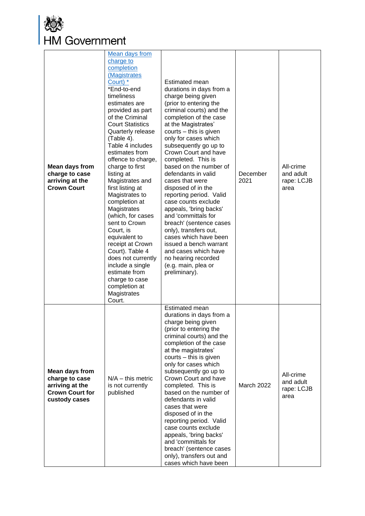

| <b>Mean days from</b><br>charge to case<br>arriving at the<br><b>Crown Court</b>                      | Mean days from<br>charge to<br>completion<br>(Magistrates<br>Court) *<br>*End-to-end<br>timeliness<br>estimates are<br>provided as part<br>of the Criminal<br><b>Court Statistics</b><br>Quarterly release<br>(Table 4).<br>Table 4 includes<br>estimates from<br>offence to charge,<br>charge to first<br>listing at<br>Magistrates and<br>first listing at<br>Magistrates to<br>completion at<br>Magistrates<br>(which, for cases<br>sent to Crown<br>Court, is<br>equivalent to<br>receipt at Crown<br>Court). Table 4<br>does not currently<br>include a single<br>estimate from<br>charge to case<br>completion at<br>Magistrates<br>Court. | Estimated mean<br>durations in days from a<br>charge being given<br>(prior to entering the<br>criminal courts) and the<br>completion of the case<br>at the Magistrates'<br>courts - this is given<br>only for cases which<br>subsequently go up to<br>Crown Court and have<br>completed. This is<br>based on the number of<br>defendants in valid<br>cases that were<br>disposed of in the<br>reporting period. Valid<br>case counts exclude<br>appeals, 'bring backs'<br>and 'committals for<br>breach' (sentence cases<br>only), transfers out,<br>cases which have been<br>issued a bench warrant<br>and cases which have<br>no hearing recorded<br>(e.g. main, plea or<br>preliminary). | December<br>2021  | All-crime<br>and adult<br>rape: LCJB<br>area |
|-------------------------------------------------------------------------------------------------------|--------------------------------------------------------------------------------------------------------------------------------------------------------------------------------------------------------------------------------------------------------------------------------------------------------------------------------------------------------------------------------------------------------------------------------------------------------------------------------------------------------------------------------------------------------------------------------------------------------------------------------------------------|---------------------------------------------------------------------------------------------------------------------------------------------------------------------------------------------------------------------------------------------------------------------------------------------------------------------------------------------------------------------------------------------------------------------------------------------------------------------------------------------------------------------------------------------------------------------------------------------------------------------------------------------------------------------------------------------|-------------------|----------------------------------------------|
| <b>Mean days from</b><br>charge to case<br>arriving at the<br><b>Crown Court for</b><br>custody cases | $N/A -$ this metric<br>is not currently<br>published                                                                                                                                                                                                                                                                                                                                                                                                                                                                                                                                                                                             | Estimated mean<br>durations in days from a<br>charge being given<br>(prior to entering the<br>criminal courts) and the<br>completion of the case<br>at the magistrates'<br>courts - this is given<br>only for cases which<br>subsequently go up to<br>Crown Court and have<br>completed. This is<br>based on the number of<br>defendants in valid<br>cases that were<br>disposed of in the<br>reporting period. Valid<br>case counts exclude<br>appeals, 'bring backs'<br>and 'committals for<br>breach' (sentence cases<br>only), transfers out and<br>cases which have been                                                                                                               | <b>March 2022</b> | All-crime<br>and adult<br>rape: LCJB<br>area |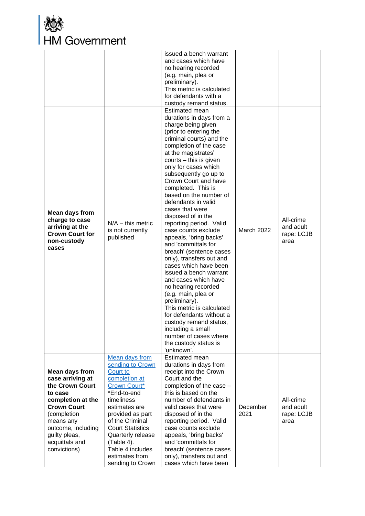

| <b>Mean days from</b><br>charge to case<br>arriving at the<br><b>Crown Court for</b><br>non-custody<br>cases                                                                                                            | $N/A -$ this metric<br>is not currently<br>published                                                                                                                                                                                                          | issued a bench warrant<br>and cases which have<br>no hearing recorded<br>(e.g. main, plea or<br>preliminary).<br>This metric is calculated<br>for defendants with a<br>custody remand status.<br>Estimated mean<br>durations in days from a<br>charge being given<br>(prior to entering the<br>criminal courts) and the<br>completion of the case<br>at the magistrates'<br>courts - this is given<br>only for cases which<br>subsequently go up to<br>Crown Court and have<br>completed. This is<br>based on the number of<br>defendants in valid<br>cases that were<br>disposed of in the<br>reporting period. Valid<br>case counts exclude<br>appeals, 'bring backs'<br>and 'committals for<br>breach' (sentence cases<br>only), transfers out and<br>cases which have been<br>issued a bench warrant<br>and cases which have<br>no hearing recorded<br>(e.g. main, plea or<br>preliminary).<br>This metric is calculated<br>for defendants without a<br>custody remand status,<br>including a small<br>number of cases where | <b>March 2022</b> | All-crime<br>and adult<br>rape: LCJB<br>area |
|-------------------------------------------------------------------------------------------------------------------------------------------------------------------------------------------------------------------------|---------------------------------------------------------------------------------------------------------------------------------------------------------------------------------------------------------------------------------------------------------------|----------------------------------------------------------------------------------------------------------------------------------------------------------------------------------------------------------------------------------------------------------------------------------------------------------------------------------------------------------------------------------------------------------------------------------------------------------------------------------------------------------------------------------------------------------------------------------------------------------------------------------------------------------------------------------------------------------------------------------------------------------------------------------------------------------------------------------------------------------------------------------------------------------------------------------------------------------------------------------------------------------------------------------|-------------------|----------------------------------------------|
|                                                                                                                                                                                                                         | <b>Mean days from</b><br>sending to Crown                                                                                                                                                                                                                     | the custody status is<br>'unknown'.<br>Estimated mean<br>durations in days from                                                                                                                                                                                                                                                                                                                                                                                                                                                                                                                                                                                                                                                                                                                                                                                                                                                                                                                                                  |                   |                                              |
| <b>Mean days from</b><br>case arriving at<br>the Crown Court<br>to case<br>completion at the<br><b>Crown Court</b><br>(completion<br>means any<br>outcome, including<br>guilty pleas,<br>acquittals and<br>convictions) | Court to<br>completion at<br><b>Crown Court*</b><br>*End-to-end<br>timeliness<br>estimates are<br>provided as part<br>of the Criminal<br><b>Court Statistics</b><br>Quarterly release<br>(Table 4).<br>Table 4 includes<br>estimates from<br>sending to Crown | receipt into the Crown<br>Court and the<br>completion of the case -<br>this is based on the<br>number of defendants in<br>valid cases that were<br>disposed of in the<br>reporting period. Valid<br>case counts exclude<br>appeals, 'bring backs'<br>and 'committals for<br>breach' (sentence cases<br>only), transfers out and<br>cases which have been                                                                                                                                                                                                                                                                                                                                                                                                                                                                                                                                                                                                                                                                         | December<br>2021  | All-crime<br>and adult<br>rape: LCJB<br>area |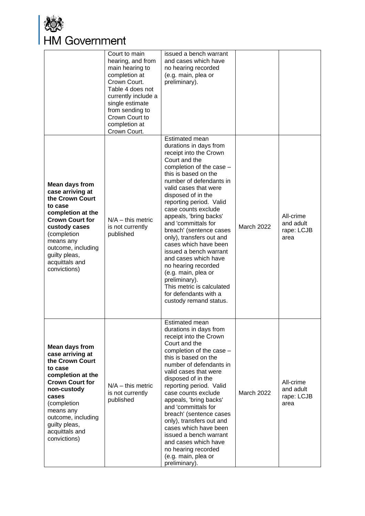

|                                                                                                                                                                                                                                                     | Court to main<br>hearing, and from<br>main hearing to<br>completion at<br>Crown Court.<br>Table 4 does not<br>currently include a<br>single estimate<br>from sending to<br>Crown Court to<br>completion at<br>Crown Court. | issued a bench warrant<br>and cases which have<br>no hearing recorded<br>(e.g. main, plea or<br>preliminary).                                                                                                                                                                                                                                                                                                                                                                                                                                                                                         |                   |                                              |
|-----------------------------------------------------------------------------------------------------------------------------------------------------------------------------------------------------------------------------------------------------|----------------------------------------------------------------------------------------------------------------------------------------------------------------------------------------------------------------------------|-------------------------------------------------------------------------------------------------------------------------------------------------------------------------------------------------------------------------------------------------------------------------------------------------------------------------------------------------------------------------------------------------------------------------------------------------------------------------------------------------------------------------------------------------------------------------------------------------------|-------------------|----------------------------------------------|
| <b>Mean days from</b><br>case arriving at<br>the Crown Court<br>to case<br>completion at the<br><b>Crown Court for</b><br>custody cases<br>(completion<br>means any<br>outcome, including<br>guilty pleas,<br>acquittals and<br>convictions)        | $N/A -$ this metric<br>is not currently<br>published                                                                                                                                                                       | Estimated mean<br>durations in days from<br>receipt into the Crown<br>Court and the<br>completion of the case -<br>this is based on the<br>number of defendants in<br>valid cases that were<br>disposed of in the<br>reporting period. Valid<br>case counts exclude<br>appeals, 'bring backs'<br>and 'committals for<br>breach' (sentence cases<br>only), transfers out and<br>cases which have been<br>issued a bench warrant<br>and cases which have<br>no hearing recorded<br>(e.g. main, plea or<br>preliminary).<br>This metric is calculated<br>for defendants with a<br>custody remand status. | March 2022        | All-crime<br>and adult<br>rape: LCJB<br>area |
| <b>Mean days from</b><br>case arriving at<br>the Crown Court<br>to case<br>completion at the<br><b>Crown Court for</b><br>non-custody<br>cases<br>(completion<br>means any<br>outcome, including<br>guilty pleas,<br>acquittals and<br>convictions) | $N/A -$ this metric<br>is not currently<br>published                                                                                                                                                                       | Estimated mean<br>durations in days from<br>receipt into the Crown<br>Court and the<br>completion of the case -<br>this is based on the<br>number of defendants in<br>valid cases that were<br>disposed of in the<br>reporting period. Valid<br>case counts exclude<br>appeals, 'bring backs'<br>and 'committals for<br>breach' (sentence cases<br>only), transfers out and<br>cases which have been<br>issued a bench warrant<br>and cases which have<br>no hearing recorded<br>(e.g. main, plea or<br>preliminary).                                                                                 | <b>March 2022</b> | All-crime<br>and adult<br>rape: LCJB<br>area |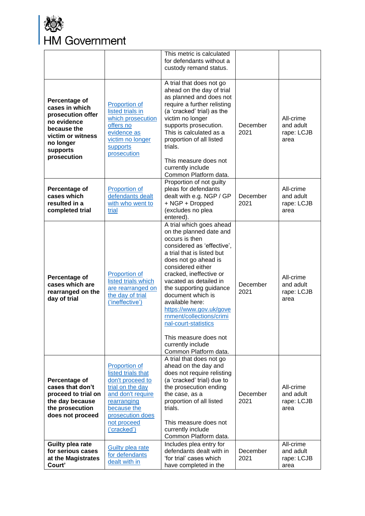

|                                                                                                                                                 |                                                                                                                                                                                         | This metric is calculated<br>for defendants without a<br>custody remand status.                                                                                                                                                                                                                                                                                                                                                     |                  |                                              |
|-------------------------------------------------------------------------------------------------------------------------------------------------|-----------------------------------------------------------------------------------------------------------------------------------------------------------------------------------------|-------------------------------------------------------------------------------------------------------------------------------------------------------------------------------------------------------------------------------------------------------------------------------------------------------------------------------------------------------------------------------------------------------------------------------------|------------------|----------------------------------------------|
| Percentage of<br>cases in which<br>prosecution offer<br>no evidence<br>because the<br>victim or witness<br>no longer<br>supports<br>prosecution | <b>Proportion of</b><br>listed trials in<br>which prosecution<br>offers no<br>evidence as<br>victim no longer<br>supports<br>prosecution                                                | A trial that does not go<br>ahead on the day of trial<br>as planned and does not<br>require a further relisting<br>(a 'cracked' trial) as the<br>victim no longer<br>supports prosecution.<br>This is calculated as a<br>proportion of all listed<br>trials.<br>This measure does not<br>currently include<br>Common Platform data.                                                                                                 | December<br>2021 | All-crime<br>and adult<br>rape: LCJB<br>area |
| Percentage of<br>cases which<br>resulted in a<br>completed trial                                                                                | <b>Proportion of</b><br>defendants dealt<br>with who went to<br>trial                                                                                                                   | Proportion of not guilty<br>pleas for defendants<br>dealt with e.g. NGP / GP<br>+ NGP + Dropped<br>(excludes no plea<br>entered).                                                                                                                                                                                                                                                                                                   | December<br>2021 | All-crime<br>and adult<br>rape: LCJB<br>area |
| Percentage of<br>cases which are<br>rearranged on the<br>day of trial                                                                           | <b>Proportion of</b><br>listed trials which<br>are rearranged on<br>the day of trial<br>('ineffective')                                                                                 | A trial which goes ahead<br>on the planned date and<br>occurs is then<br>considered as 'effective',<br>a trial that is listed but<br>does not go ahead is<br>considered either<br>cracked, ineffective or<br>vacated as detailed in<br>the supporting guidance<br>document which is<br>available here:<br>https://www.gov.uk/gove<br>rnment/collections/crimi<br>nal-court-statistics<br>This measure does not<br>currently include | December<br>2021 | All-crime<br>and adult<br>rape: LCJB<br>area |
| Percentage of<br>cases that don't<br>proceed to trial on<br>the day because<br>the prosecution<br>does not proceed                              | <b>Proportion of</b><br>listed trials that<br>don't proceed to<br>trial on the day<br>and don't require<br>rearranging<br>because the<br>prosecution does<br>not proceed<br>('cracked') | Common Platform data.<br>A trial that does not go<br>ahead on the day and<br>does not require relisting<br>(a 'cracked' trial) due to<br>the prosecution ending<br>the case, as a<br>proportion of all listed<br>trials.<br>This measure does not<br>currently include<br>Common Platform data.                                                                                                                                     | December<br>2021 | All-crime<br>and adult<br>rape: LCJB<br>area |
| Guilty plea rate<br>for serious cases<br>at the Magistrates<br>Court'                                                                           | <b>Guilty plea rate</b><br>for defendants<br>dealt with in                                                                                                                              | Includes plea entry for<br>defendants dealt with in<br>'for trial' cases which<br>have completed in the                                                                                                                                                                                                                                                                                                                             | December<br>2021 | All-crime<br>and adult<br>rape: LCJB<br>area |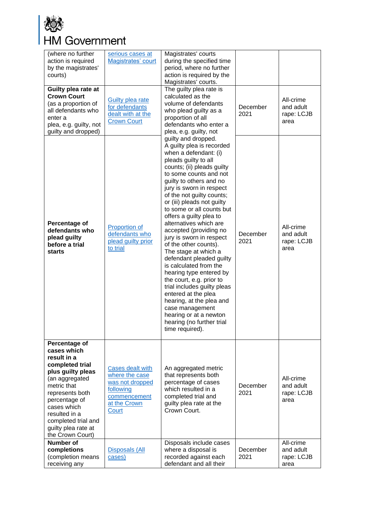

| (where no further<br>action is required<br>by the magistrates'<br>courts)                                                                                                                                                                                  | serious cases at<br>Magistrates' court                                                                      | Magistrates' courts<br>during the specified time<br>period, where no further<br>action is required by the<br>Magistrates' courts.                                                                                                                                                                                                                                                                                                                                                                                                                                                                                                                                                                                                                                |                  |                                              |
|------------------------------------------------------------------------------------------------------------------------------------------------------------------------------------------------------------------------------------------------------------|-------------------------------------------------------------------------------------------------------------|------------------------------------------------------------------------------------------------------------------------------------------------------------------------------------------------------------------------------------------------------------------------------------------------------------------------------------------------------------------------------------------------------------------------------------------------------------------------------------------------------------------------------------------------------------------------------------------------------------------------------------------------------------------------------------------------------------------------------------------------------------------|------------------|----------------------------------------------|
| Guilty plea rate at<br><b>Crown Court</b><br>(as a proportion of<br>all defendants who<br>enter a<br>plea, e.g. guilty, not<br>guilty and dropped)                                                                                                         | <b>Guilty plea rate</b><br>for defendants<br>dealt with at the<br><b>Crown Court</b>                        | The guilty plea rate is<br>calculated as the<br>volume of defendants<br>who plead guilty as a<br>proportion of all<br>defendants who enter a<br>plea, e.g. guilty, not                                                                                                                                                                                                                                                                                                                                                                                                                                                                                                                                                                                           | December<br>2021 | All-crime<br>and adult<br>rape: LCJB<br>area |
| Percentage of<br>defendants who<br>plead guilty<br>before a trial<br><b>starts</b>                                                                                                                                                                         | <b>Proportion of</b><br>defendants who<br>plead guilty prior<br>to trial                                    | guilty and dropped.<br>A guilty plea is recorded<br>when a defendant: (i)<br>pleads guilty to all<br>counts; (ii) pleads guilty<br>to some counts and not<br>guilty to others and no<br>jury is sworn in respect<br>of the not guilty counts;<br>or (iii) pleads not guilty<br>to some or all counts but<br>offers a guilty plea to<br>alternatives which are<br>accepted (providing no<br>jury is sworn in respect<br>of the other counts).<br>The stage at which a<br>defendant pleaded guilty<br>is calculated from the<br>hearing type entered by<br>the court, e.g. prior to<br>trial includes guilty pleas<br>entered at the plea<br>hearing, at the plea and<br>case management<br>hearing or at a newton<br>hearing (no further trial<br>time required). | December<br>2021 | All-crime<br>and adult<br>rape: LCJB<br>area |
| Percentage of<br>cases which<br>result in a<br>completed trial<br>plus guilty pleas<br>(an aggregated<br>metric that<br>represents both<br>percentage of<br>cases which<br>resulted in a<br>completed trial and<br>guilty plea rate at<br>the Crown Court) | Cases dealt with<br>where the case<br>was not dropped<br>following<br>commencement<br>at the Crown<br>Court | An aggregated metric<br>that represents both<br>percentage of cases<br>which resulted in a<br>completed trial and<br>guilty plea rate at the<br>Crown Court.                                                                                                                                                                                                                                                                                                                                                                                                                                                                                                                                                                                                     | December<br>2021 | All-crime<br>and adult<br>rape: LCJB<br>area |
| <b>Number of</b><br>completions<br>(completion means<br>receiving any                                                                                                                                                                                      | <b>Disposals (All</b><br>cases)                                                                             | Disposals include cases<br>where a disposal is<br>recorded against each<br>defendant and all their                                                                                                                                                                                                                                                                                                                                                                                                                                                                                                                                                                                                                                                               | December<br>2021 | All-crime<br>and adult<br>rape: LCJB<br>area |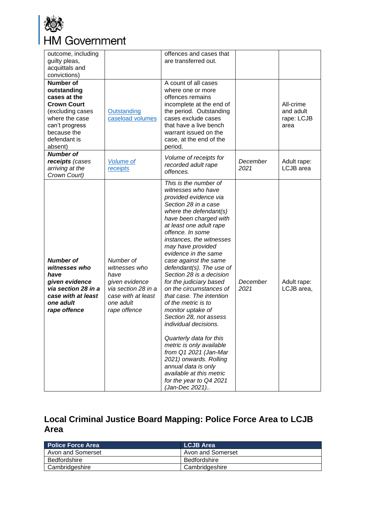

| outcome, including<br>guilty pleas,<br>acquittals and<br>convictions)                                                                                                   |                                                                                                                                | offences and cases that<br>are transferred out.                                                                                                                                                                                                                                                                                                                                                                                                                                                                                                                                                                                                                                                                                                     |                  |                                              |
|-------------------------------------------------------------------------------------------------------------------------------------------------------------------------|--------------------------------------------------------------------------------------------------------------------------------|-----------------------------------------------------------------------------------------------------------------------------------------------------------------------------------------------------------------------------------------------------------------------------------------------------------------------------------------------------------------------------------------------------------------------------------------------------------------------------------------------------------------------------------------------------------------------------------------------------------------------------------------------------------------------------------------------------------------------------------------------------|------------------|----------------------------------------------|
| <b>Number of</b><br>outstanding<br>cases at the<br><b>Crown Court</b><br>(excluding cases<br>where the case<br>can't progress<br>because the<br>defendant is<br>absent) | Outstanding<br>caseload volumes                                                                                                | A count of all cases<br>where one or more<br>offences remains<br>incomplete at the end of<br>the period. Outstanding<br>cases exclude cases<br>that have a live bench<br>warrant issued on the<br>case, at the end of the<br>period.                                                                                                                                                                                                                                                                                                                                                                                                                                                                                                                |                  | All-crime<br>and adult<br>rape: LCJB<br>area |
| <b>Number of</b><br>receipts (cases<br>arriving at the<br>Crown Court)                                                                                                  | <b>Volume of</b><br>receipts                                                                                                   | Volume of receipts for<br>recorded adult rape<br>offences.                                                                                                                                                                                                                                                                                                                                                                                                                                                                                                                                                                                                                                                                                          | December<br>2021 | Adult rape:<br>LCJB area                     |
| <b>Number of</b><br>witnesses who<br>have<br>given evidence<br>via section 28 in a<br>case with at least<br>one adult<br>rape offence                                   | Number of<br>witnesses who<br>have<br>given evidence<br>via section 28 in a<br>case with at least<br>one adult<br>rape offence | This is the number of<br>witnesses who have<br>provided evidence via<br>Section 28 in a case<br>where the defendant(s)<br>have been charged with<br>at least one adult rape<br>offence. In some<br>instances, the witnesses<br>may have provided<br>evidence in the same<br>case against the same<br>defendant(s). The use of<br>Section 28 is a decision<br>for the judiciary based<br>on the circumstances of<br>that case. The intention<br>of the metric is to<br>monitor uptake of<br>Section 28, not assess<br>individual decisions<br>Quarterly data for this<br>metric is only available<br>from Q1 2021 (Jan-Mar<br>2021) onwards. Rolling<br>annual data is only<br>available at this metric<br>for the year to Q4 2021<br>(Jan-Dec 2021) | December<br>2021 | Adult rape:<br>LCJB area,                    |

## <span id="page-27-0"></span>**Local Criminal Justice Board Mapping: Police Force Area to LCJB Area**

| <b>Police Force Area</b> | <b>LCJB Area</b>  |
|--------------------------|-------------------|
| Avon and Somerset        | Avon and Somerset |
| Bedfordshire             | Bedfordshire      |
| Cambridgeshire           | Cambridgeshire    |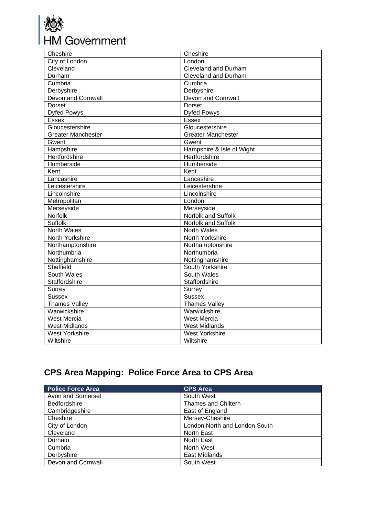

| Cheshire                  | Cheshire                    |
|---------------------------|-----------------------------|
| City of London            | London                      |
| Cleveland                 | <b>Cleveland and Durham</b> |
| Durham                    | <b>Cleveland and Durham</b> |
| Cumbria                   | Cumbria                     |
| Derbyshire                | Derbyshire                  |
| Devon and Cornwall        | Devon and Cornwall          |
| Dorset                    | Dorset                      |
| <b>Dyfed Powys</b>        | <b>Dyfed Powys</b>          |
| <b>Essex</b>              | <b>Essex</b>                |
| Gloucestershire           | Gloucestershire             |
| <b>Greater Manchester</b> | <b>Greater Manchester</b>   |
| Gwent                     | Gwent                       |
| Hampshire                 | Hampshire & Isle of Wight   |
| Hertfordshire             | Hertfordshire               |
| Humberside                | Humberside                  |
| Kent                      | Kent                        |
| Lancashire                | Lancashire                  |
| Leicestershire            | Leicestershire              |
| Lincolnshire              | Lincolnshire                |
| Metropolitan              | London                      |
| Merseyside                | Merseyside                  |
| Norfolk                   | Norfolk and Suffolk         |
| <b>Suffolk</b>            | Norfolk and Suffolk         |
| <b>North Wales</b>        | <b>North Wales</b>          |
| North Yorkshire           | North Yorkshire             |
| Northamptonshire          | Northamptonshire            |
| Northumbria               | Northumbria                 |
| Nottinghamshire           | Nottinghamshire             |
| Sheffield                 | South Yorkshire             |
| <b>South Wales</b>        | South Wales                 |
| Staffordshire             | Staffordshire               |
| Surrey                    | Surrey                      |
| <b>Sussex</b>             | <b>Sussex</b>               |
| <b>Thames Valley</b>      | <b>Thames Valley</b>        |
| Warwickshire              | Warwickshire                |
| <b>West Mercia</b>        | <b>West Mercia</b>          |
| <b>West Midlands</b>      | <b>West Midlands</b>        |
| <b>West Yorkshire</b>     | <b>West Yorkshire</b>       |
| Wiltshire                 | Wiltshire                   |

## <span id="page-28-0"></span>**CPS Area Mapping: Police Force Area to CPS Area**

| <b>Police Force Area</b> | <b>CPS Area</b>               |
|--------------------------|-------------------------------|
| Avon and Somerset        | South West                    |
| <b>Bedfordshire</b>      | Thames and Chiltern           |
| Cambridgeshire           | East of England               |
| Cheshire                 | Mersey-Cheshire               |
| City of London           | London North and London South |
| Cleveland                | North East                    |
| Durham                   | <b>North East</b>             |
| Cumbria                  | North West                    |
| Derbyshire               | <b>East Midlands</b>          |
| Devon and Cornwall       | South West                    |